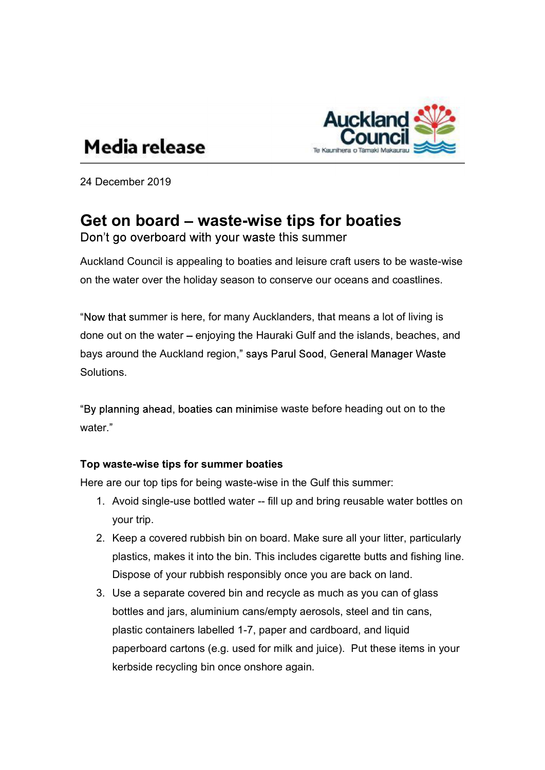

# Media release

24 December 2019

## Get on board – waste-wise tips for boaties

Don't go overboard with your waste this summer

Auckland Council is appealing to boaties and leisure craft users to be waste-wise on the water over the holiday season to conserve our oceans and coastlines.

"Now that summer is here, for many Aucklanders, that means a lot of living is done out on the water – enjoying the Hauraki Gulf and the islands, beaches, and bays around the Auckland region," says Parul Sood, General Manager Waste Solutions.

"By planning ahead, boaties can minimise waste before heading out on to the water."

### Top waste-wise tips for summer boaties

Here are our top tips for being waste-wise in the Gulf this summer:

- 1. Avoid single-use bottled water -- fill up and bring reusable water bottles on your trip.
- 2. Keep a covered rubbish bin on board. Make sure all your litter, particularly plastics, makes it into the bin. This includes cigarette butts and fishing line. Dispose of your rubbish responsibly once you are back on land.
- 3. Use a separate covered bin and recycle as much as you can of glass bottles and jars, aluminium cans/empty aerosols, steel and tin cans, plastic containers labelled 1-7, paper and cardboard, and liquid paperboard cartons (e.g. used for milk and juice). Put these items in your kerbside recycling bin once onshore again.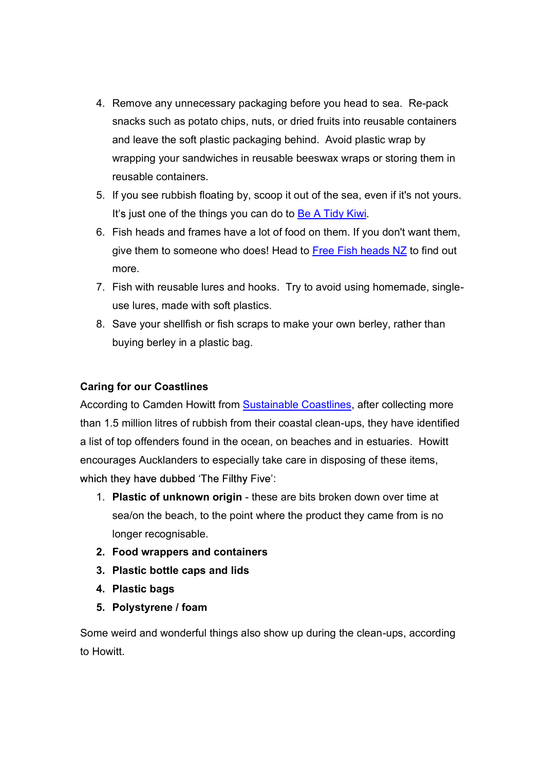- 4. Remove any unnecessary packaging before you head to sea. Re-pack snacks such as potato chips, nuts, or dried fruits into reusable containers and leave the soft plastic packaging behind. Avoid plastic wrap by wrapping your sandwiches in reusable beeswax wraps or storing them in reusable containers.
- 5. If you see rubbish floating by, scoop it out of the sea, even if it's not yours.
- It's just one of the things you can do to **Be A Tidy Kiwi**.<br>6. Fish heads and frames have a lot of food on them. If you don't want them, give them to someone who does! Head to Free Fish heads NZ to find out more.
- 7. Fish with reusable lures and hooks. Try to avoid using homemade, singleuse lures, made with soft plastics.
- 8. Save your shellfish or fish scraps to make your own berley, rather than buying berley in a plastic bag.

### Caring for our Coastlines

According to Camden Howitt from Sustainable Coastlines, after collecting more than 1.5 million litres of rubbish from their coastal clean-ups, they have identified a list of top offenders found in the ocean, on beaches and in estuaries. Howitt encourages Aucklanders to especially take care in disposing of these items, :

- 1. Plastic of unknown origin these are bits broken down over time at sea/on the beach, to the point where the product they came from is no longer recognisable.
- 2. Food wrappers and containers
- 3. Plastic bottle caps and lids
- 4. Plastic bags
- 5. Polystyrene / foam

Some weird and wonderful things also show up during the clean-ups, according to Howitt.